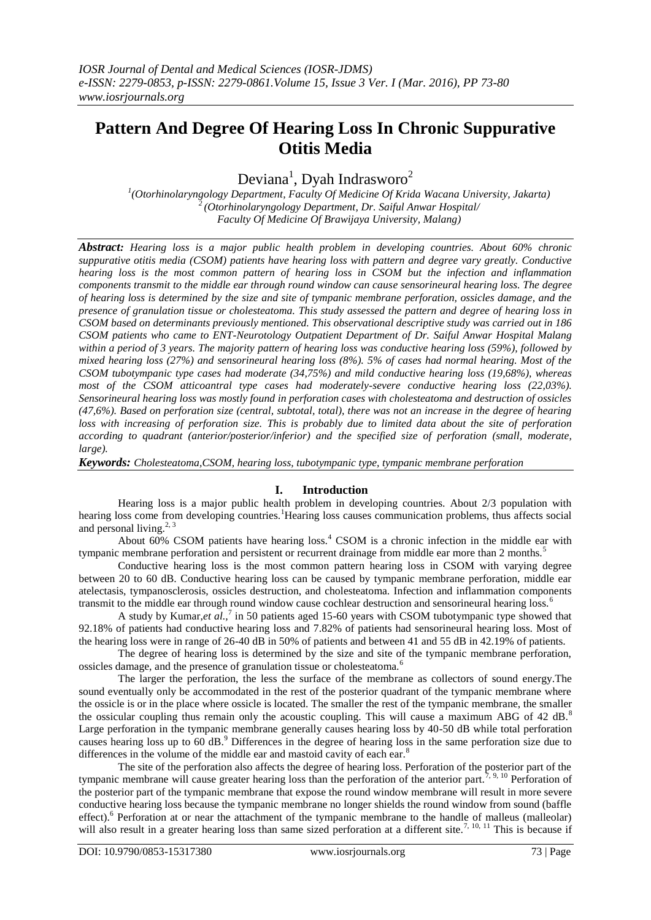# **Pattern And Degree Of Hearing Loss In Chronic Suppurative Otitis Media**

Deviana<sup>1</sup>, Dyah Indrasworo<sup>2</sup>

*1 (Otorhinolaryngology Department, Faculty Of Medicine Of Krida Wacana University, Jakarta) <sup>2</sup>(Otorhinolaryngology Department, Dr. Saiful Anwar Hospital/ Faculty Of Medicine Of Brawijaya University, Malang)*

*Abstract: Hearing loss is a major public health problem in developing countries. About 60% chronic suppurative otitis media (CSOM) patients have hearing loss with pattern and degree vary greatly. Conductive hearing loss is the most common pattern of hearing loss in CSOM but the infection and inflammation components transmit to the middle ear through round window can cause sensorineural hearing loss. The degree of hearing loss is determined by the size and site of tympanic membrane perforation, ossicles damage, and the presence of granulation tissue or cholesteatoma. This study assessed the pattern and degree of hearing loss in CSOM based on determinants previously mentioned. This observational descriptive study was carried out in 186 CSOM patients who came to ENT-Neurotology Outpatient Department of Dr. Saiful Anwar Hospital Malang within a period of 3 years. The majority pattern of hearing loss was conductive hearing loss (59%), followed by mixed hearing loss (27%) and sensorineural hearing loss (8%). 5% of cases had normal hearing. Most of the CSOM tubotympanic type cases had moderate (34,75%) and mild conductive hearing loss (19,68%), whereas*  most of the CSOM atticoantral type cases had moderately-severe conductive hearing loss (22,03%). *Sensorineural hearing loss was mostly found in perforation cases with cholesteatoma and destruction of ossicles (47,6%). Based on perforation size (central, subtotal, total), there was not an increase in the degree of hearing loss with increasing of perforation size. This is probably due to limited data about the site of perforation according to quadrant (anterior/posterior/inferior) and the specified size of perforation (small, moderate, large).*

*Keywords: Cholesteatoma,CSOM, hearing loss, tubotympanic type, tympanic membrane perforation*

# **I. Introduction**

Hearing loss is a major public health problem in developing countries. About 2/3 population with hearing loss come from developing countries.<sup>1</sup>Hearing loss causes communication problems, thus affects social and personal living. $2,3$ 

About 60% CSOM patients have hearing loss.<sup>4</sup> CSOM is a chronic infection in the middle ear with tympanic membrane perforation and persistent or recurrent drainage from middle ear more than 2 months.<sup>5</sup>

Conductive hearing loss is the most common pattern hearing loss in CSOM with varying degree between 20 to 60 dB. Conductive hearing loss can be caused by tympanic membrane perforation, middle ear atelectasis, tympanosclerosis, ossicles destruction, and cholesteatoma. Infection and inflammation components transmit to the middle ear through round window cause cochlear destruction and sensorineural hearing loss.<sup>6</sup>

A study by Kumar,*et al.*,<sup>7</sup> in 50 patients aged 15-60 years with CSOM tubotympanic type showed that 92.18% of patients had conductive hearing loss and 7.82% of patients had sensorineural hearing loss. Most of the hearing loss were in range of 26-40 dB in 50% of patients and between 41 and 55 dB in 42.19% of patients.

The degree of hearing loss is determined by the size and site of the tympanic membrane perforation, ossicles damage, and the presence of granulation tissue or cholesteatoma.<sup>6</sup>

The larger the perforation, the less the surface of the membrane as collectors of sound energy.The sound eventually only be accommodated in the rest of the posterior quadrant of the tympanic membrane where the ossicle is or in the place where ossicle is located. The smaller the rest of the tympanic membrane, the smaller the ossicular coupling thus remain only the acoustic coupling. This will cause a maximum ABG of 42 dB.<sup>8</sup> Large perforation in the tympanic membrane generally causes hearing loss by 40-50 dB while total perforation causes hearing loss up to 60 dB.<sup>9</sup> Differences in the degree of hearing loss in the same perforation size due to differences in the volume of the middle ear and mastoid cavity of each ear. $8$ 

The site of the perforation also affects the degree of hearing loss. Perforation of the posterior part of the tympanic membrane will cause greater hearing loss than the perforation of the anterior part.<sup>7, 9, 10</sup> Perforation of the posterior part of the tympanic membrane that expose the round window membrane will result in more severe conductive hearing loss because the tympanic membrane no longer shields the round window from sound (baffle effect).<sup>6</sup> Perforation at or near the attachment of the tympanic membrane to the handle of malleus (malleolar) will also result in a greater hearing loss than same sized perforation at a different site.<sup>7, 10, 11</sup> This is because if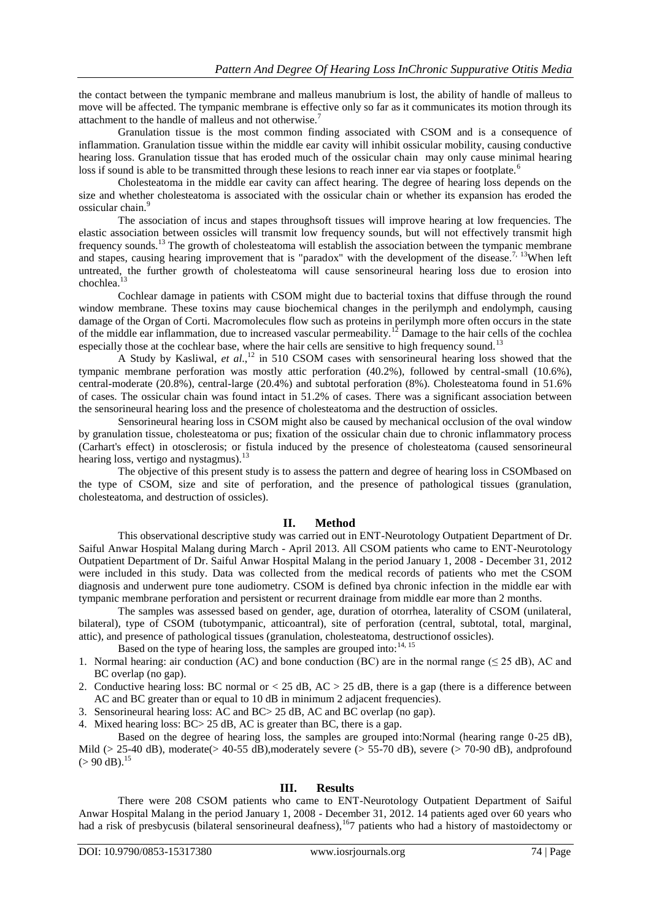the contact between the tympanic membrane and malleus manubrium is lost, the ability of handle of malleus to move will be affected. The tympanic membrane is effective only so far as it communicates its motion through its attachment to the handle of malleus and not otherwise.<sup>7</sup>

Granulation tissue is the most common finding associated with CSOM and is a consequence of inflammation. Granulation tissue within the middle ear cavity will inhibit ossicular mobility, causing conductive hearing loss. Granulation tissue that has eroded much of the ossicular chain may only cause minimal hearing loss if sound is able to be transmitted through these lesions to reach inner ear via stapes or footplate.<sup>6</sup>

Cholesteatoma in the middle ear cavity can affect hearing. The degree of hearing loss depends on the size and whether cholesteatoma is associated with the ossicular chain or whether its expansion has eroded the ossicular chain.<sup>9</sup>

The association of incus and stapes throughsoft tissues will improve hearing at low frequencies. The elastic association between ossicles will transmit low frequency sounds, but will not effectively transmit high frequency sounds.<sup>13</sup> The growth of cholesteatoma will establish the association between the tympanic membrane and stapes, causing hearing improvement that is "paradox" with the development of the disease.<sup>7, 13</sup>When left untreated, the further growth of cholesteatoma will cause sensorineural hearing loss due to erosion into chochlea.<sup>13</sup>

Cochlear damage in patients with CSOM might due to bacterial toxins that diffuse through the round window membrane. These toxins may cause biochemical changes in the perilymph and endolymph, causing damage of the Organ of Corti. Macromolecules flow such as proteins in perilymph more often occurs in the state of the middle ear inflammation, due to increased vascular permeability.<sup>12</sup> Damage to the hair cells of the cochlea especially those at the cochlear base, where the hair cells are sensitive to high frequency sound.<sup>13</sup>

A Study by Kasliwal, *et al*., <sup>12</sup> in 510 CSOM cases with sensorineural hearing loss showed that the tympanic membrane perforation was mostly attic perforation (40.2%), followed by central-small (10.6%), central-moderate (20.8%), central-large (20.4%) and subtotal perforation (8%). Cholesteatoma found in 51.6% of cases. The ossicular chain was found intact in 51.2% of cases. There was a significant association between the sensorineural hearing loss and the presence of cholesteatoma and the destruction of ossicles.

Sensorineural hearing loss in CSOM might also be caused by mechanical occlusion of the oval window by granulation tissue, cholesteatoma or pus; fixation of the ossicular chain due to chronic inflammatory process (Carhart's effect) in otosclerosis; or fistula induced by the presence of cholesteatoma (caused sensorineural hearing loss, vertigo and nystagmus).<sup>13</sup>

The objective of this present study is to assess the pattern and degree of hearing loss in CSOMbased on the type of CSOM, size and site of perforation, and the presence of pathological tissues (granulation, cholesteatoma, and destruction of ossicles).

## **II. Method**

This observational descriptive study was carried out in ENT-Neurotology Outpatient Department of Dr. Saiful Anwar Hospital Malang during March - April 2013. All CSOM patients who came to ENT-Neurotology Outpatient Department of Dr. Saiful Anwar Hospital Malang in the period January 1, 2008 - December 31, 2012 were included in this study. Data was collected from the medical records of patients who met the CSOM diagnosis and underwent pure tone audiometry. CSOM is defined bya chronic infection in the middle ear with tympanic membrane perforation and persistent or recurrent drainage from middle ear more than 2 months.

The samples was assessed based on gender, age, duration of otorrhea, laterality of CSOM (unilateral, bilateral), type of CSOM (tubotympanic, atticoantral), site of perforation (central, subtotal, total, marginal, attic), and presence of pathological tissues (granulation, cholesteatoma, destructionof ossicles).

Based on the type of hearing loss, the samples are grouped into: $14, 15$ 

- 1. Normal hearing: air conduction (AC) and bone conduction (BC) are in the normal range ( $\leq$  25 dB), AC and BC overlap (no gap).
- 2. Conductive hearing loss: BC normal or  $<$  25 dB, AC  $>$  25 dB, there is a gap (there is a difference between AC and BC greater than or equal to 10 dB in minimum 2 adjacent frequencies).
- 3. Sensorineural hearing loss: AC and BC> 25 dB, AC and BC overlap (no gap).

4. Mixed hearing loss: BC> 25 dB, AC is greater than BC, there is a gap.

Based on the degree of hearing loss, the samples are grouped into:Normal (hearing range 0-25 dB), Mild ( $> 25-40$  dB), moderate( $> 40-55$  dB), moderately severe ( $> 55-70$  dB), severe ( $> 70-90$  dB), andprofound  $(>90 \text{ dB})$ .<sup>15</sup>

## **III. Results**

There were 208 CSOM patients who came to ENT-Neurotology Outpatient Department of Saiful Anwar Hospital Malang in the period January 1, 2008 - December 31, 2012. 14 patients aged over 60 years who had a risk of presbycusis (bilateral sensorineural deafness),<sup>16</sup>7 patients who had a history of mastoidectomy or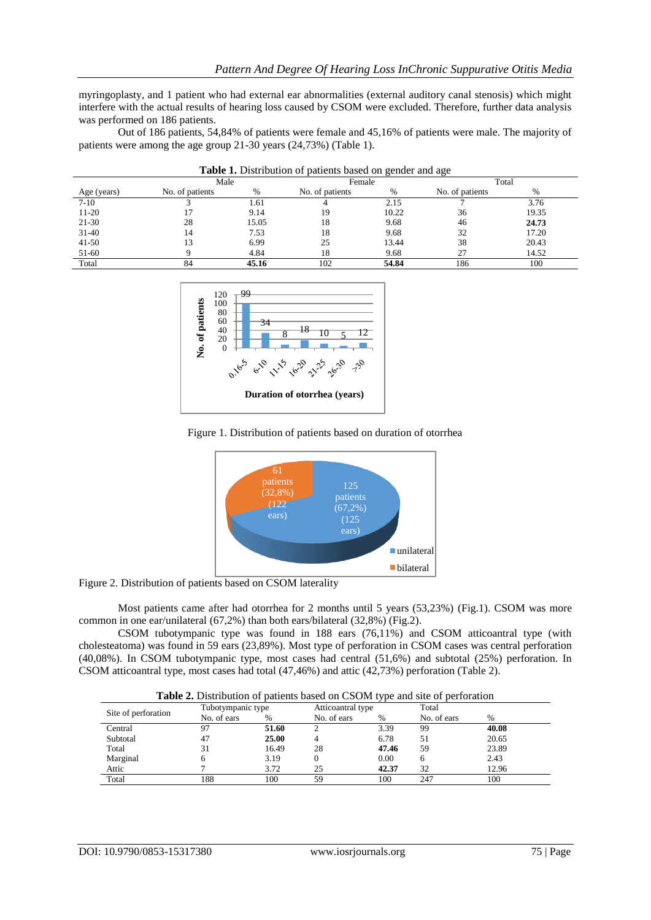myringoplasty, and 1 patient who had external ear abnormalities (external auditory canal stenosis) which might interfere with the actual results of hearing loss caused by CSOM were excluded. Therefore, further data analysis was performed on 186 patients.

Out of 186 patients, 54,84% of patients were female and 45,16% of patients were male. The majority of patients were among the age group 21-30 years (24,73%) (Table 1).

|             | Male            |       | Female          |               | Total           |       |  |
|-------------|-----------------|-------|-----------------|---------------|-----------------|-------|--|
| Age (years) | No. of patients | $\%$  | No. of patients | $\frac{0}{0}$ | No. of patients | %     |  |
| $7-10$      |                 | 1.61  |                 | 2.15          |                 | 3.76  |  |
| 11-20       |                 | 9.14  | 19              | 10.22         | 36              | 19.35 |  |
| $21-30$     | 28              | 15.05 | 18              | 9.68          | 46              | 24.73 |  |
| $31-40$     | 14              | 7.53  | 18              | 9.68          | 32              | 17.20 |  |
| $41 - 50$   |                 | 6.99  | 25              | 13.44         | 38              | 20.43 |  |
| 51-60       |                 | 4.84  | 18              | 9.68          | 27              | 14.52 |  |
| Total       |                 | 45.16 | 102             | 54.84         | 186             | 100   |  |

| Table 1. Distribution of patients based on gender and age |  |  |
|-----------------------------------------------------------|--|--|
|-----------------------------------------------------------|--|--|







Figure 2. Distribution of patients based on CSOM laterality

Most patients came after had otorrhea for 2 months until 5 years (53,23%) (Fig.1). CSOM was more common in one ear/unilateral (67,2%) than both ears/bilateral (32,8%) (Fig.2).

CSOM tubotympanic type was found in 188 ears (76,11%) and CSOM atticoantral type (with cholesteatoma) was found in 59 ears (23,89%). Most type of perforation in CSOM cases was central perforation (40,08%). In CSOM tubotympanic type, most cases had central (51,6%) and subtotal (25%) perforation. In CSOM atticoantral type, most cases had total (47,46%) and attic (42,73%) perforation (Table 2).

**Table 2.** Distribution of patients based on CSOM type and site of perforation

|                     | Tubotympanic type |       | Atticoantral type |       | Total       |       |  |
|---------------------|-------------------|-------|-------------------|-------|-------------|-------|--|
| Site of perforation | No. of ears       | %     | No. of ears       | $\%$  | No. of ears | $\%$  |  |
| Central             |                   | 51.60 |                   | 3.39  | 99          | 40.08 |  |
| Subtotal            | 47                | 25.00 |                   | 6.78  | 51          | 20.65 |  |
| Total               |                   | 16.49 | 28                | 47.46 | 59          | 23.89 |  |
| Marginal            |                   | 3.19  |                   | 0.00  |             | 2.43  |  |
| Attic               |                   | 3.72  | 25                | 42.37 | 32          | 12.96 |  |
| Total               | 188               | 100   | 59                | 100   | 247         | 100   |  |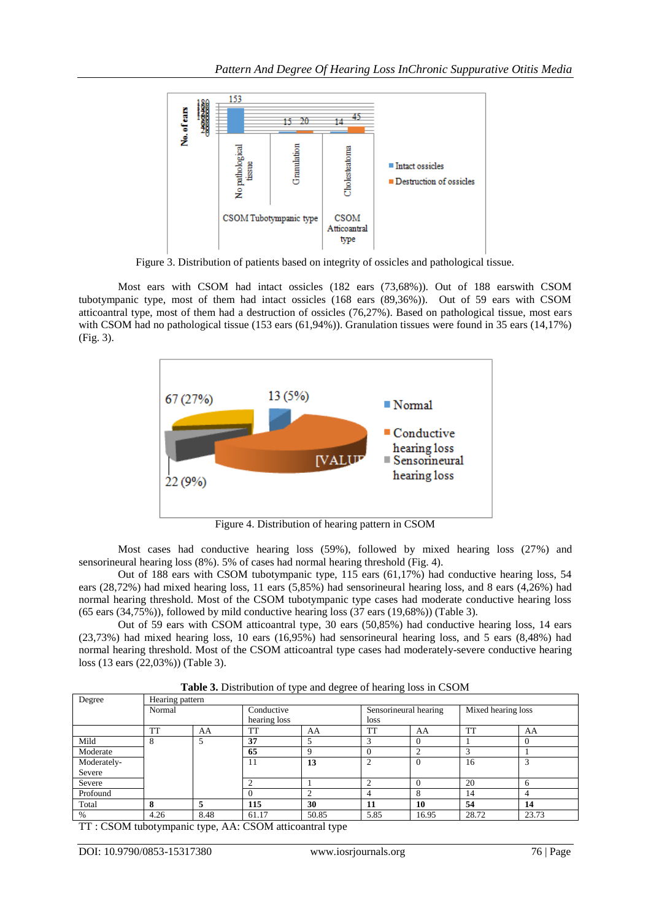

Figure 3. Distribution of patients based on integrity of ossicles and pathological tissue.

Most ears with CSOM had intact ossicles (182 ears (73,68%)). Out of 188 earswith CSOM tubotympanic type, most of them had intact ossicles (168 ears (89,36%)). Out of 59 ears with CSOM atticoantral type, most of them had a destruction of ossicles (76,27%). Based on pathological tissue, most ears with CSOM had no pathological tissue (153 ears (61,94%)). Granulation tissues were found in 35 ears (14,17%) (Fig. 3).



Figure 4. Distribution of hearing pattern in CSOM

Most cases had conductive hearing loss (59%), followed by mixed hearing loss (27%) and sensorineural hearing loss (8%). 5% of cases had normal hearing threshold (Fig. 4).

Out of 188 ears with CSOM tubotympanic type, 115 ears (61,17%) had conductive hearing loss, 54 ears (28,72%) had mixed hearing loss, 11 ears (5,85%) had sensorineural hearing loss, and 8 ears (4,26%) had normal hearing threshold. Most of the CSOM tubotympanic type cases had moderate conductive hearing loss (65 ears (34,75%)), followed by mild conductive hearing loss (37 ears (19,68%)) (Table 3).

Out of 59 ears with CSOM atticoantral type, 30 ears (50,85%) had conductive hearing loss, 14 ears (23,73%) had mixed hearing loss, 10 ears (16,95%) had sensorineural hearing loss, and 5 ears (8,48%) had normal hearing threshold. Most of the CSOM atticoantral type cases had moderately-severe conductive hearing loss (13 ears (22,03%)) (Table 3).

| Table 3. Distribution of type and degree of hearing loss in CSOM |
|------------------------------------------------------------------|
|------------------------------------------------------------------|

| Degree      | Hearing pattern |      |              |       |                       |       |                    |       |  |  |
|-------------|-----------------|------|--------------|-------|-----------------------|-------|--------------------|-------|--|--|
|             | Normal          |      | Conductive   |       | Sensorineural hearing |       | Mixed hearing loss |       |  |  |
|             |                 |      | hearing loss |       | loss                  |       |                    |       |  |  |
|             | <b>TT</b>       | AA   | TT           | AA    | <b>TT</b>             | AA    | <b>TT</b>          | AA    |  |  |
| Mild        | 8               |      | 37           |       | $\sim$                |       |                    |       |  |  |
| Moderate    |                 |      | 65           |       | $\Omega$              |       |                    |       |  |  |
| Moderately- |                 |      | 11           | 13    | ◠                     |       | 16                 |       |  |  |
| Severe      |                 |      |              |       |                       |       |                    |       |  |  |
| Severe      |                 |      |              |       |                       |       | 20                 |       |  |  |
| Profound    |                 |      |              |       |                       | ົ     | 14                 |       |  |  |
| Total       | 8               |      | 115          | 30    | 11                    | 10    | 54                 | 14    |  |  |
| %           | 4.26            | 8.48 | 61.17        | 50.85 | 5.85                  | 16.95 | 28.72              | 23.73 |  |  |

TT : CSOM tubotympanic type, AA: CSOM atticoantral type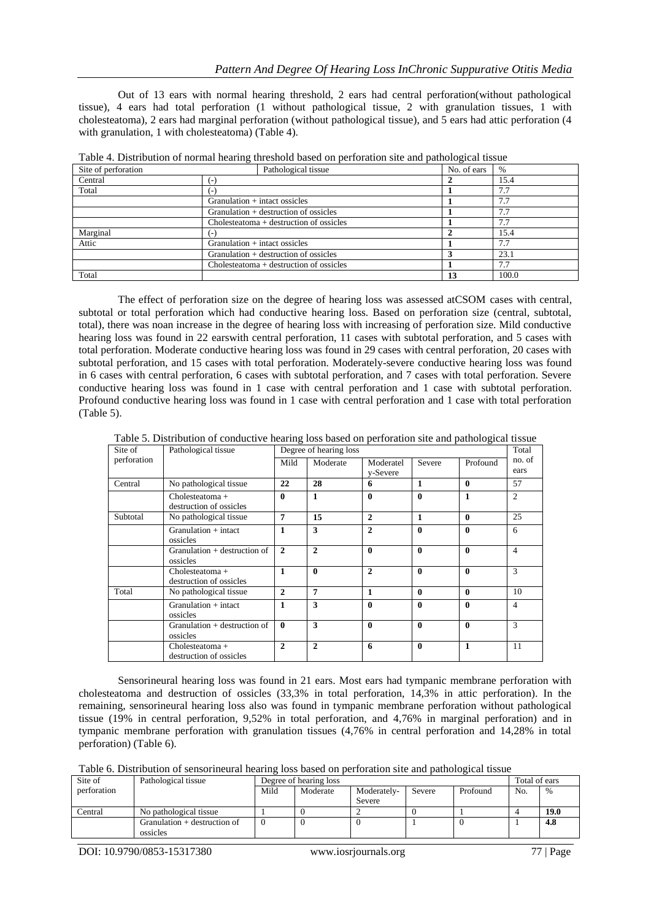Out of 13 ears with normal hearing threshold, 2 ears had central perforation(without pathological tissue), 4 ears had total perforation (1 without pathological tissue, 2 with granulation tissues, 1 with cholesteatoma), 2 ears had marginal perforation (without pathological tissue), and 5 ears had attic perforation (4 with granulation, 1 with cholesteatoma) (Table 4).

| Site of perforation | Pathological tissue                     | No. of ears | $\frac{0}{0}$ |
|---------------------|-----------------------------------------|-------------|---------------|
| Central             | ь.                                      |             | 15.4          |
| Total               | ÷                                       |             | 7.7           |
|                     | Granulation $+$ intact ossicles         |             | 7.7           |
|                     | Granulation $+$ destruction of ossicles |             | 7.7           |
|                     | Cholesteatoma + destruction of ossicles |             | 7.7           |
| Marginal            | ( – )                                   |             | 15.4          |
| Attic               | Granulation $+$ intact ossicles         |             | 7.7           |
|                     | Granulation $+$ destruction of ossicles |             | 23.1          |
|                     | Cholesteatoma + destruction of ossicles |             | 7.7           |
| Total               |                                         | 13          | 100.0         |

| Table 4. Distribution of normal hearing threshold based on perforation site and pathological tissue |
|-----------------------------------------------------------------------------------------------------|
|-----------------------------------------------------------------------------------------------------|

The effect of perforation size on the degree of hearing loss was assessed atCSOM cases with central, subtotal or total perforation which had conductive hearing loss. Based on perforation size (central, subtotal, total), there was noan increase in the degree of hearing loss with increasing of perforation size. Mild conductive hearing loss was found in 22 earswith central perforation, 11 cases with subtotal perforation, and 5 cases with total perforation. Moderate conductive hearing loss was found in 29 cases with central perforation, 20 cases with subtotal perforation, and 15 cases with total perforation. Moderately-severe conductive hearing loss was found in 6 cases with central perforation, 6 cases with subtotal perforation, and 7 cases with total perforation. Severe conductive hearing loss was found in 1 case with central perforation and 1 case with subtotal perforation. Profound conductive hearing loss was found in 1 case with central perforation and 1 case with total perforation (Table 5).

Table 5. Distribution of conductive hearing loss based on perforation site and pathological tissue

| Site of     | Pathological tissue             |                | Degree of hearing loss |                |              |              |                |  |
|-------------|---------------------------------|----------------|------------------------|----------------|--------------|--------------|----------------|--|
| perforation |                                 | Mild           | Moderate               | Moderatel      | Severe       | Profound     | no. of         |  |
|             |                                 |                |                        | y-Severe       |              |              | ears           |  |
| Central     | No pathological tissue          | 22             | 28                     | 6              | $\mathbf{1}$ | $\mathbf{0}$ | 57             |  |
|             | $Cholesteatoma +$               | 0              | $\mathbf{1}$           | 0              | $\mathbf{0}$ | $\mathbf{1}$ | $\overline{2}$ |  |
|             | destruction of ossicles         |                |                        |                |              |              |                |  |
| Subtotal    | No pathological tissue          | 7              | 15                     | $\mathbf{2}$   | 1            | $\mathbf{0}$ | 25             |  |
|             | $Gramulation + intact$          | 1              | 3                      | $\overline{c}$ | $\mathbf{0}$ | $\mathbf{0}$ | 6              |  |
|             | ossicles                        |                |                        |                |              |              |                |  |
|             | $C$ ranulation + destruction of | $\mathbf{2}$   | $\overline{2}$         | 0              | $\theta$     | $\mathbf{0}$ | $\overline{4}$ |  |
|             | ossicles                        |                |                        |                |              |              |                |  |
|             | $Cholesteatoma +$               | 1              | $\mathbf{0}$           | $\mathbf{2}$   | $\mathbf{0}$ | $\mathbf{0}$ | 3              |  |
|             | destruction of ossicles         |                |                        |                |              |              |                |  |
| Total       | No pathological tissue          | $\mathbf{2}$   | 7                      | 1              | $\mathbf{0}$ | $\mathbf{0}$ | 10             |  |
|             | $Gramulation + intact$          | 1              | 3                      | $\bf{0}$       | $\mathbf{0}$ | $\mathbf{0}$ | $\overline{4}$ |  |
|             | ossicles                        |                |                        |                |              |              |                |  |
|             | $C$ ranulation + destruction of | $\mathbf{0}$   | 3                      | 0              | $\theta$     | $\mathbf{0}$ | 3              |  |
|             | ossicles                        |                |                        |                |              |              |                |  |
|             | $Cholesteatoma +$               | $\overline{c}$ | $\mathbf{2}$           | 6              | $\mathbf{0}$ | 1            | 11             |  |
|             | destruction of ossicles         |                |                        |                |              |              |                |  |

Sensorineural hearing loss was found in 21 ears. Most ears had tympanic membrane perforation with cholesteatoma and destruction of ossicles (33,3% in total perforation, 14,3% in attic perforation). In the remaining, sensorineural hearing loss also was found in tympanic membrane perforation without pathological tissue (19% in central perforation, 9,52% in total perforation, and 4,76% in marginal perforation) and in tympanic membrane perforation with granulation tissues (4,76% in central perforation and 14,28% in total perforation) (Table 6).

Table 6. Distribution of sensorineural hearing loss based on perforation site and pathological tissue

| Site of     | Pathological tissue            |      | Degree of hearing loss |             |        |          |     |             |  |
|-------------|--------------------------------|------|------------------------|-------------|--------|----------|-----|-------------|--|
| perforation |                                | Mild | Moderate               | Moderately- | Severe | Profound | No. | $\%$        |  |
|             |                                |      |                        | Severe      |        |          |     |             |  |
| Central     | No pathological tissue         |      |                        |             |        |          |     | <b>19.0</b> |  |
|             | Granulation $+$ destruction of |      |                        | υ           |        |          |     | 4.8         |  |
|             | ossicles                       |      |                        |             |        |          |     |             |  |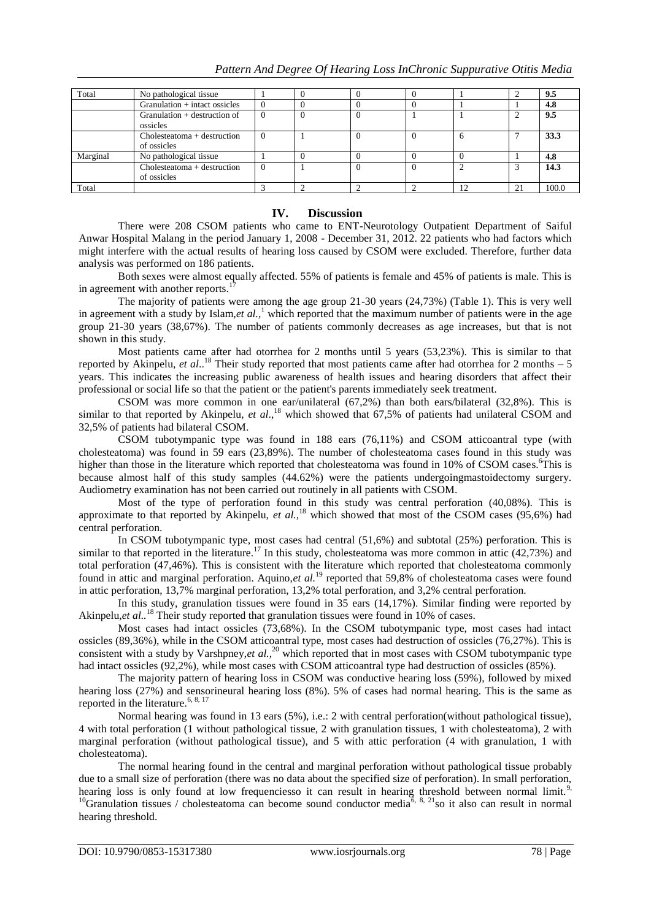| Total    | No pathological tissue                     |          |  |          |    |    | 9.5   |
|----------|--------------------------------------------|----------|--|----------|----|----|-------|
|          | Granulation + intact ossicles              | $\theta$ |  |          |    |    | 4.8   |
|          | Granulation $+$ destruction of             | $\Omega$ |  |          |    |    | 9.5   |
|          | ossicles                                   |          |  |          |    |    |       |
|          | Cholesteatoma + destruction<br>of ossicles | $\Omega$ |  | 0        |    |    | 33.3  |
| Marginal | No pathological tissue                     |          |  |          |    |    | 4.8   |
|          | Cholesteatoma + destruction<br>of ossicles | $\Omega$ |  | $\Omega$ |    |    | 14.3  |
| Total    |                                            |          |  |          | 12 | 21 | 100.0 |

## **IV. Discussion**

There were 208 CSOM patients who came to ENT-Neurotology Outpatient Department of Saiful Anwar Hospital Malang in the period January 1, 2008 - December 31, 2012. 22 patients who had factors which might interfere with the actual results of hearing loss caused by CSOM were excluded. Therefore, further data analysis was performed on 186 patients.

Both sexes were almost equally affected. 55% of patients is female and 45% of patients is male. This is in agreement with another reports.<sup>1</sup>

The majority of patients were among the age group 21-30 years (24,73%) (Table 1). This is very well in agreement with a study by Islam,*et al.*,<sup>1</sup> which reported that the maximum number of patients were in the age group 21-30 years (38,67%). The number of patients commonly decreases as age increases, but that is not shown in this study.

Most patients came after had otorrhea for 2 months until 5 years (53,23%). This is similar to that reported by Akinpelu, *et al*.. <sup>18</sup> Their study reported that most patients came after had otorrhea for 2 months – 5 years. This indicates the increasing public awareness of health issues and hearing disorders that affect their professional or social life so that the patient or the patient's parents immediately seek treatment.

CSOM was more common in one ear/unilateral (67,2%) than both ears/bilateral (32,8%). This is similar to that reported by Akinpelu, *et al.*,<sup>18</sup> which showed that 67,5% of patients had unilateral CSOM and 32,5% of patients had bilateral CSOM.

CSOM tubotympanic type was found in 188 ears (76,11%) and CSOM atticoantral type (with cholesteatoma) was found in 59 ears (23,89%). The number of cholesteatoma cases found in this study was higher than those in the literature which reported that cholesteatoma was found in 10% of CSOM cases.<sup>6</sup>This is because almost half of this study samples (44.62%) were the patients undergoingmastoidectomy surgery. Audiometry examination has not been carried out routinely in all patients with CSOM.

Most of the type of perforation found in this study was central perforation (40,08%). This is approximate to that reported by Akinpelu, *et al.,*<sup>18</sup> which showed that most of the CSOM cases (95,6%) had central perforation.

In CSOM tubotympanic type, most cases had central (51,6%) and subtotal (25%) perforation. This is similar to that reported in the literature.<sup>17</sup> In this study, cholesteatoma was more common in attic (42,73%) and total perforation (47,46%). This is consistent with the literature which reported that cholesteatoma commonly found in attic and marginal perforation. Aquino,*et al.*<sup>19</sup> reported that 59,8% of cholesteatoma cases were found in attic perforation, 13,7% marginal perforation, 13,2% total perforation, and 3,2% central perforation.

In this study, granulation tissues were found in 35 ears (14,17%). Similar finding were reported by Akinpelu,*et al.*.<sup>18</sup> Their study reported that granulation tissues were found in 10% of cases.

Most cases had intact ossicles (73,68%). In the CSOM tubotympanic type, most cases had intact ossicles (89,36%), while in the CSOM atticoantral type, most cases had destruction of ossicles (76,27%). This is consistent with a study by Varshpney,*et al.*,<sup>20</sup> which reported that in most cases with CSOM tubotympanic type had intact ossicles (92,2%), while most cases with CSOM atticoantral type had destruction of ossicles (85%).

The majority pattern of hearing loss in CSOM was conductive hearing loss (59%), followed by mixed hearing loss (27%) and sensorineural hearing loss (8%). 5% of cases had normal hearing. This is the same as reported in the literature.<sup>6, 8, 17</sup>

Normal hearing was found in 13 ears (5%), i.e.: 2 with central perforation(without pathological tissue), 4 with total perforation (1 without pathological tissue, 2 with granulation tissues, 1 with cholesteatoma), 2 with marginal perforation (without pathological tissue), and 5 with attic perforation (4 with granulation, 1 with cholesteatoma).

The normal hearing found in the central and marginal perforation without pathological tissue probably due to a small size of perforation (there was no data about the specified size of perforation). In small perforation, hearing loss is only found at low frequenciesso it can result in hearing threshold between normal limit.<sup>9,</sup> <sup>10</sup>Granulation tissues / cholesteatoma can become sound conductor media<sup>6, 8, 21</sup>so it also can result in normal hearing threshold.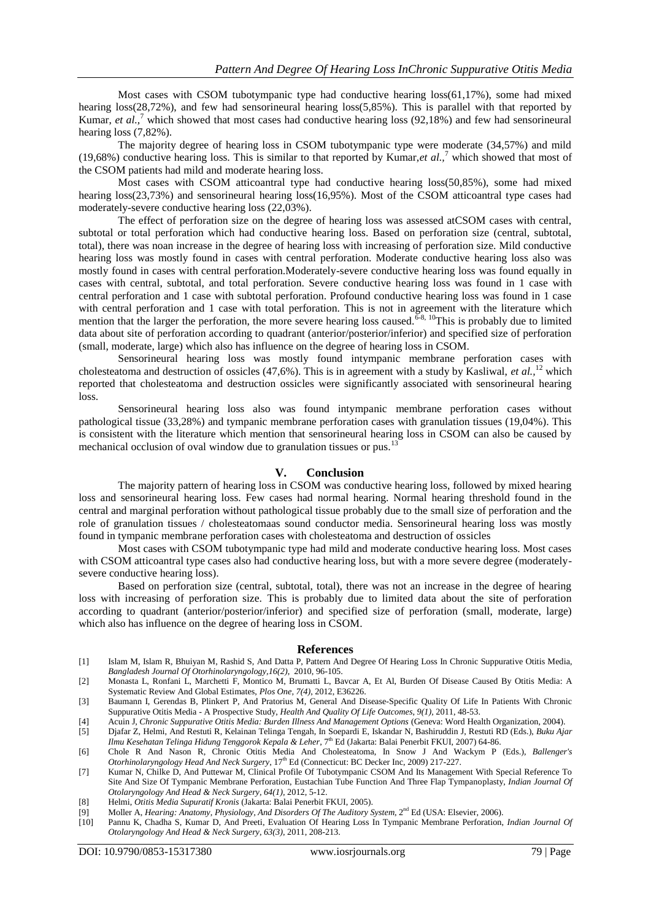Most cases with CSOM tubotympanic type had conductive hearing  $loss(61,17\%)$ , some had mixed hearing loss(28,72%), and few had sensorineural hearing loss(5,85%). This is parallel with that reported by Kumar, *et al.,*<sup>7</sup> which showed that most cases had conductive hearing loss (92,18%) and few had sensorineural hearing loss (7,82%).

The majority degree of hearing loss in CSOM tubotympanic type were moderate (34,57%) and mild (19,68%) conductive hearing loss. This is similar to that reported by Kumar,*et al.,*<sup>7</sup> which showed that most of the CSOM patients had mild and moderate hearing loss.

Most cases with CSOM atticoantral type had conductive hearing loss(50,85%), some had mixed hearing loss(23,73%) and sensorineural hearing loss(16,95%). Most of the CSOM atticoantral type cases had moderately-severe conductive hearing loss (22,03%).

The effect of perforation size on the degree of hearing loss was assessed atCSOM cases with central, subtotal or total perforation which had conductive hearing loss. Based on perforation size (central, subtotal, total), there was noan increase in the degree of hearing loss with increasing of perforation size. Mild conductive hearing loss was mostly found in cases with central perforation. Moderate conductive hearing loss also was mostly found in cases with central perforation.Moderately-severe conductive hearing loss was found equally in cases with central, subtotal, and total perforation. Severe conductive hearing loss was found in 1 case with central perforation and 1 case with subtotal perforation. Profound conductive hearing loss was found in 1 case with central perforation and 1 case with total perforation. This is not in agreement with the literature which mention that the larger the perforation, the more severe hearing loss caused.<sup>6-8, 10</sup>This is probably due to limited data about site of perforation according to quadrant (anterior/posterior/inferior) and specified size of perforation (small, moderate, large) which also has influence on the degree of hearing loss in CSOM.

Sensorineural hearing loss was mostly found intympanic membrane perforation cases with cholesteatoma and destruction of ossicles (47,6%). This is in agreement with a study by Kasliwal, *et al.,*<sup>12</sup> which reported that cholesteatoma and destruction ossicles were significantly associated with sensorineural hearing loss.

Sensorineural hearing loss also was found intympanic membrane perforation cases without pathological tissue (33,28%) and tympanic membrane perforation cases with granulation tissues (19,04%). This is consistent with the literature which mention that sensorineural hearing loss in CSOM can also be caused by mechanical occlusion of oval window due to granulation tissues or pus.<sup>13</sup>

#### **V. Conclusion**

The majority pattern of hearing loss in CSOM was conductive hearing loss, followed by mixed hearing loss and sensorineural hearing loss. Few cases had normal hearing. Normal hearing threshold found in the central and marginal perforation without pathological tissue probably due to the small size of perforation and the role of granulation tissues / cholesteatomaas sound conductor media. Sensorineural hearing loss was mostly found in tympanic membrane perforation cases with cholesteatoma and destruction of ossicles

Most cases with CSOM tubotympanic type had mild and moderate conductive hearing loss. Most cases with CSOM atticoantral type cases also had conductive hearing loss, but with a more severe degree (moderatelysevere conductive hearing loss).

Based on perforation size (central, subtotal, total), there was not an increase in the degree of hearing loss with increasing of perforation size. This is probably due to limited data about the site of perforation according to quadrant (anterior/posterior/inferior) and specified size of perforation (small, moderate, large) which also has influence on the degree of hearing loss in CSOM.

#### **References**

- [1] Islam M, Islam R, Bhuiyan M, Rashid S, And Datta P, Pattern And Degree Of Hearing Loss In Chronic Suppurative Otitis Media, *Bangladesh Journal Of Otorhinolaryngology,16(2)*, 2010, 96-105.
- [2] Monasta L, Ronfani L, Marchetti F, Montico M, Brumatti L, Bavcar A, Et Al, Burden Of Disease Caused By Otitis Media: A Systematic Review And Global Estimates, *Plos One, 7(4)*, 2012, E36226.
- [3] Baumann I, Gerendas B, Plinkert P, And Pratorius M, General And Disease-Specific Quality Of Life In Patients With Chronic Suppurative Otitis Media - A Prospective Study, *Health And Quality Of Life Outcomes*, *9(1),* 2011, 48-53.
- [4] Acuin J, *Chronic Suppurative Otitis Media: Burden Illness And Management Options* (Geneva: Word Health Organization, 2004).
- [5] Djafar Z, Helmi, And Restuti R, Kelainan Telinga Tengah, In Soepardi E, Iskandar N, Bashiruddin J, Restuti RD (Eds.), *Buku Ajar Ilmu Kesehatan Telinga Hidung Tenggorok Kepala & Leher*, 7<sup>th</sup> Ed (Jakarta: Balai Penerbit FKUI, 2007) 64-86.
- [6] Chole R And Nason R, Chronic Otitis Media And Cholesteatoma, In Snow J And Wackym P (Eds.), *Ballenger's Otorhinolaryngology Head And Neck Surgery*, 17<sup>th</sup> Ed (Connecticut: BC Decker Inc, 2009) 217-227.
- [7] Kumar N, Chilke D, And Puttewar M, Clinical Profile Of Tubotympanic CSOM And Its Management With Special Reference To Site And Size Of Tympanic Membrane Perforation, Eustachian Tube Function And Three Flap Tympanoplasty, *Indian Journal Of Otolaryngology And Head & Neck Surgery, 64(1),* 2012, 5-12.
- [8] Helmi, *Otitis Media Supuratif Kronis* (Jakarta: Balai Penerbit FKUI, 2005).
- [9] Moller A, *Hearing: Anatomy, Physiology, And Disorders Of The Auditory System*, 2nd Ed (USA: Elsevier, 2006).
- [10] Pannu K, Chadha S, Kumar D, And Preeti, Evaluation Of Hearing Loss In Tympanic Membrane Perforation, *Indian Journal Of Otolaryngology And Head & Neck Surgery*, *63(3)*, 2011, 208-213.